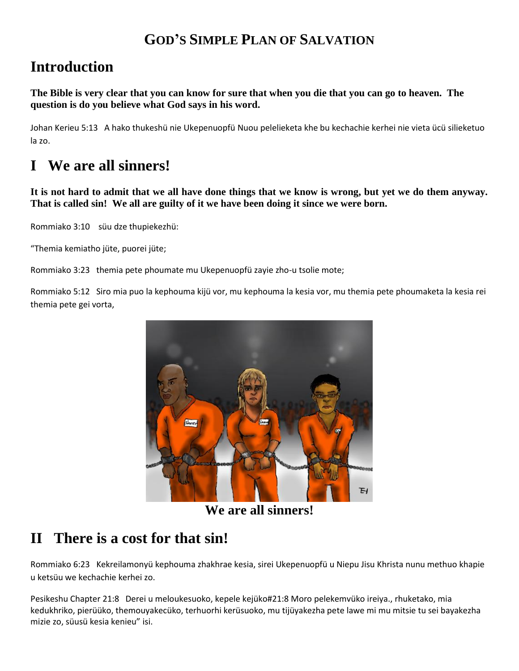## **GOD'S SIMPLE PLAN OF SALVATION**

## **Introduction**

**The Bible is very clear that you can know for sure that when you die that you can go to heaven. The question is do you believe what God says in his word.**

Johan Kerieu 5:13 A hako thukeshü nie Ukepenuopfü Nuou pelelieketa khe bu kechachie kerhei nie vieta ücü silieketuo la zo.

# **I We are all sinners!**

**It is not hard to admit that we all have done things that we know is wrong, but yet we do them anyway. That is called sin! We all are guilty of it we have been doing it since we were born.**

Rommiako 3:10 süu dze thupiekezhü:

"Themia kemiatho jüte, puorei jüte;

Rommiako 3:23 themia pete phoumate mu Ukepenuopfü zayie zho-u tsolie mote;

Rommiako 5:12 Siro mia puo la kephouma kijü vor, mu kephouma la kesia vor, mu themia pete phoumaketa la kesia rei themia pete gei vorta,



**We are all sinners!**

## **II There is a cost for that sin!**

Rommiako 6:23 Kekreilamonyü kephouma zhakhrae kesia, sirei Ukepenuopfü u Niepu Jisu Khrista nunu methuo khapie u ketsüu we kechachie kerhei zo.

Pesikeshu Chapter 21:8 Derei u meloukesuoko, kepele kejüko#21:8 Moro pelekemvüko ireiya., rhuketako, mia kedukhriko, pierüüko, themouyakecüko, terhuorhi kerüsuoko, mu tijüyakezha pete lawe mi mu mitsie tu sei bayakezha mizie zo, süusü kesia kenieu" isi.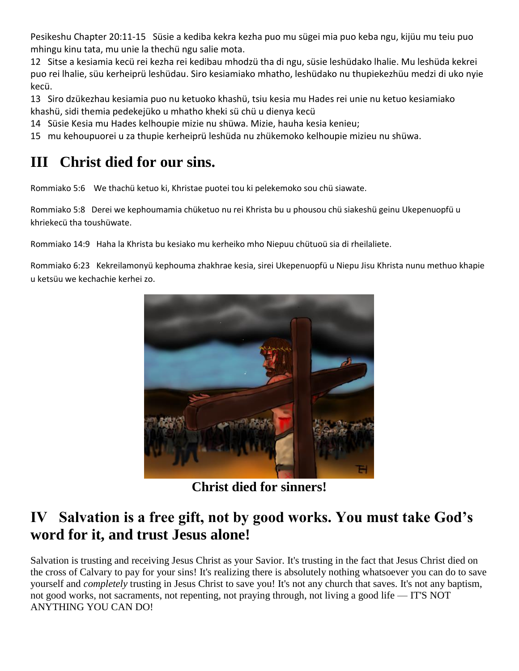Pesikeshu Chapter 20:11-15 Süsie a kediba kekra kezha puo mu sügei mia puo keba ngu, kijüu mu teiu puo mhingu kinu tata, mu unie la thechü ngu salie mota.

12 Sitse a kesiamia kecü rei kezha rei kedibau mhodzü tha di ngu, süsie leshüdako lhalie. Mu leshüda kekrei puo rei lhalie, süu kerheiprü leshüdau. Siro kesiamiako mhatho, leshüdako nu thupiekezhüu medzi di uko nyie kecü.

13 Siro dzükezhau kesiamia puo nu ketuoko khashü, tsiu kesia mu Hades rei unie nu ketuo kesiamiako khashü, sidi themia pedekejüko u mhatho kheki sü chü u dienya kecü

14 Süsie Kesia mu Hades kelhoupie mizie nu shüwa. Mizie, hauha kesia kenieu;

15 mu kehoupuorei u za thupie kerheiprü leshüda nu zhükemoko kelhoupie mizieu nu shüwa.

# **III Christ died for our sins.**

Rommiako 5:6 We thachü ketuo ki, Khristae puotei tou ki pelekemoko sou chü siawate.

Rommiako 5:8 Derei we kephoumamia chüketuo nu rei Khrista bu u phousou chü siakeshü geinu Ukepenuopfü u khriekecü tha toushüwate.

Rommiako 14:9 Haha la Khrista bu kesiako mu kerheiko mho Niepuu chütuoü sia di rheilaliete.

Rommiako 6:23 Kekreilamonyü kephouma zhakhrae kesia, sirei Ukepenuopfü u Niepu Jisu Khrista nunu methuo khapie u ketsüu we kechachie kerhei zo.



**Christ died for sinners!**

## **IV Salvation is a free gift, not by good works. You must take God's word for it, and trust Jesus alone!**

Salvation is trusting and receiving Jesus Christ as your Savior. It's trusting in the fact that Jesus Christ died on the cross of Calvary to pay for your sins! It's realizing there is absolutely nothing whatsoever you can do to save yourself and *completely* trusting in Jesus Christ to save you! It's not any church that saves. It's not any baptism, not good works, not sacraments, not repenting, not praying through, not living a good life — IT'S NOT ANYTHING YOU CAN DO!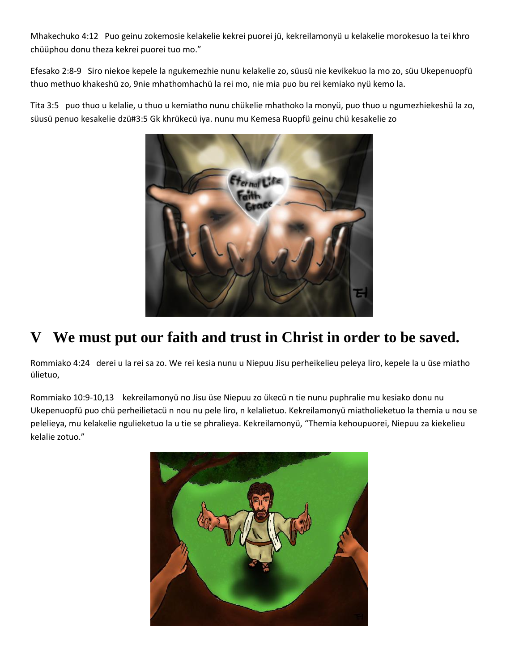Mhakechuko 4:12 Puo geinu zokemosie kelakelie kekrei puorei jü, kekreilamonyü u kelakelie morokesuo la tei khro chüüphou donu theza kekrei puorei tuo mo."

Efesako 2:8-9 Siro niekoe kepele la ngukemezhie nunu kelakelie zo, süusü nie kevikekuo la mo zo, süu Ukepenuopfü thuo methuo khakeshü zo, 9nie mhathomhachü la rei mo, nie mia puo bu rei kemiako nyü kemo la.

Tita 3:5 puo thuo u kelalie, u thuo u kemiatho nunu chükelie mhathoko la monyü, puo thuo u ngumezhiekeshü la zo, süusü penuo kesakelie dzü#3:5 Gk khrükecü iya. nunu mu Kemesa Ruopfü geinu chü kesakelie zo



# **V We must put our faith and trust in Christ in order to be saved.**

Rommiako 4:24 derei u la rei sa zo. We rei kesia nunu u Niepuu Jisu perheikelieu peleya liro, kepele la u üse miatho ülietuo,

Rommiako 10:9-10,13 kekreilamonyü no Jisu üse Niepuu zo ükecü n tie nunu puphralie mu kesiako donu nu Ukepenuopfü puo chü perheilietacü n nou nu pele liro, n kelalietuo. Kekreilamonyü miatholieketuo la themia u nou se pelelieya, mu kelakelie ngulieketuo la u tie se phralieya. Kekreilamonyü, "Themia kehoupuorei, Niepuu za kiekelieu kelalie zotuo."